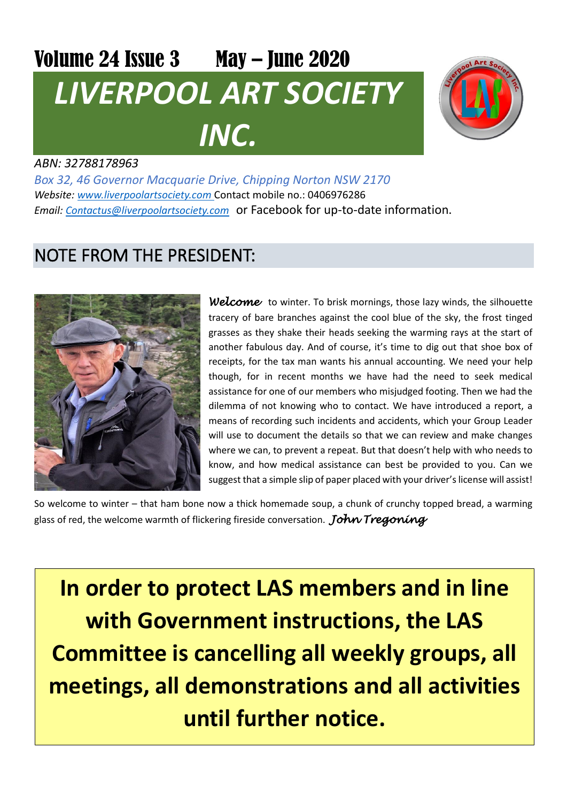# Volume 24 Issue 3 May - June 2020 *LIVERPOOL ART SOCIETY INC.*



#### *ABN: 32788178963*

*Box 32, 46 Governor Macquarie Drive, Chipping Norton NSW 2170 Website: [www.liverpoolartsociety.com](http://www.liverpoolartsociety.com/)* Contact mobile no.: 0406976286 *Email: [Contactus@liverpoolartsociety.com](mailto:Contactus@liverpoolartsociety.com)* or Facebook for up-to-date information.

### NOTE FROM THE PRESIDENT:



*Welcome* to winter. To brisk mornings, those lazy winds, the silhouette tracery of bare branches against the cool blue of the sky, the frost tinged grasses as they shake their heads seeking the warming rays at the start of another fabulous day. And of course, it's time to dig out that shoe box of receipts, for the tax man wants his annual accounting. We need your help though, for in recent months we have had the need to seek medical assistance for one of our members who misjudged footing. Then we had the dilemma of not knowing who to contact. We have introduced a report, a means of recording such incidents and accidents, which your Group Leader will use to document the details so that we can review and make changes where we can, to prevent a repeat. But that doesn't help with who needs to know, and how medical assistance can best be provided to you. Can we suggest that a simple slip of paper placed with your driver's license will assist!

So welcome to winter – that ham bone now a thick homemade soup, a chunk of crunchy topped bread, a warming glass of red, the welcome warmth of flickering fireside conversation. *John Tregoning* 

**In order to protect LAS members and in line with Government instructions, the LAS Committee is cancelling all weekly groups, all meetings, all demonstrations and all activities until further notice.**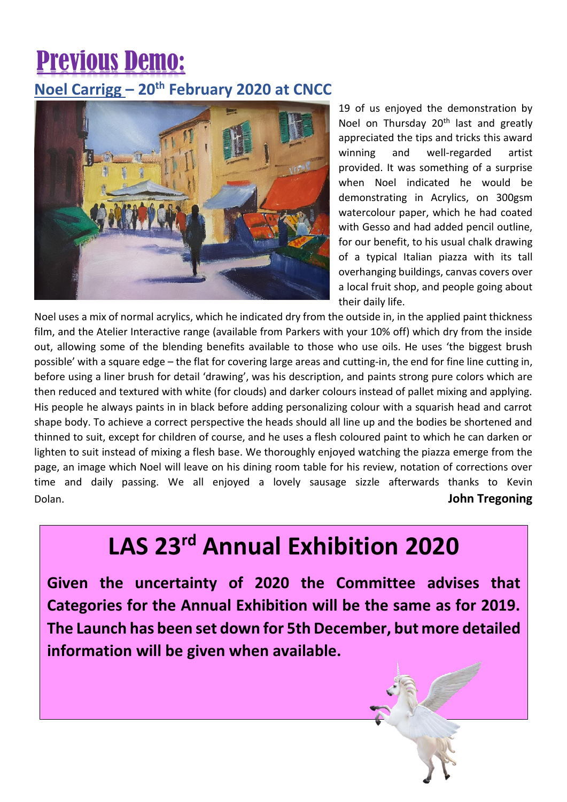## Previous Demo:

#### **Noel Carrigg – 20th February 2020 at CNCC**



19 of us enjoyed the demonstration by Noel on Thursday 20<sup>th</sup> last and greatly appreciated the tips and tricks this award winning and well-regarded artist provided. It was something of a surprise when Noel indicated he would be demonstrating in Acrylics, on 300gsm watercolour paper, which he had coated with Gesso and had added pencil outline, for our benefit, to his usual chalk drawing of a typical Italian piazza with its tall overhanging buildings, canvas covers over a local fruit shop, and people going about their daily life.

Noel uses a mix of normal acrylics, which he indicated dry from the outside in, in the applied paint thickness film, and the Atelier Interactive range (available from Parkers with your 10% off) which dry from the inside out, allowing some of the blending benefits available to those who use oils. He uses 'the biggest brush possible' with a square edge – the flat for covering large areas and cutting-in, the end for fine line cutting in, before using a liner brush for detail 'drawing', was his description, and paints strong pure colors which are then reduced and textured with white (for clouds) and darker colours instead of pallet mixing and applying. His people he always paints in in black before adding personalizing colour with a squarish head and carrot shape body. To achieve a correct perspective the heads should all line up and the bodies be shortened and thinned to suit, except for children of course, and he uses a flesh coloured paint to which he can darken or lighten to suit instead of mixing a flesh base. We thoroughly enjoyed watching the piazza emerge from the page, an image which Noel will leave on his dining room table for his review, notation of corrections over time and daily passing. We all enjoyed a lovely sausage sizzle afterwards thanks to Kevin Dolan. **John Tregoning**

## **LAS 23rd Annual Exhibition 2020**

 **Given the uncertainty of 2020 the Committee advises that**   **Categories for the Annual Exhibition will be the same as for 2019.**   **The Launch has been set down for 5th December, but more detailed**   **information will be given when available.**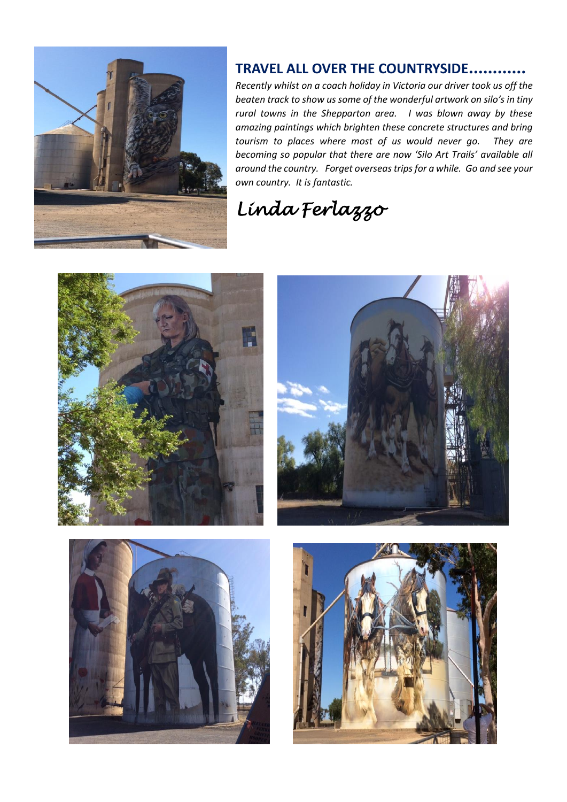

#### **TRAVEL ALL OVER THE COUNTRYSIDE…………**

*Recently whilst on a coach holiday in Victoria our driver took us off the beaten track to show us some of the wonderful artwork on silo's in tiny rural towns in the Shepparton area. I was blown away by these amazing paintings which brighten these concrete structures and bring tourism to places where most of us would never go. They are becoming so popular that there are now 'Silo Art Trails' available all around the country. Forget overseas trips for a while. Go and see your own country. It is fantastic.* 

## *Linda Ferlazzo*